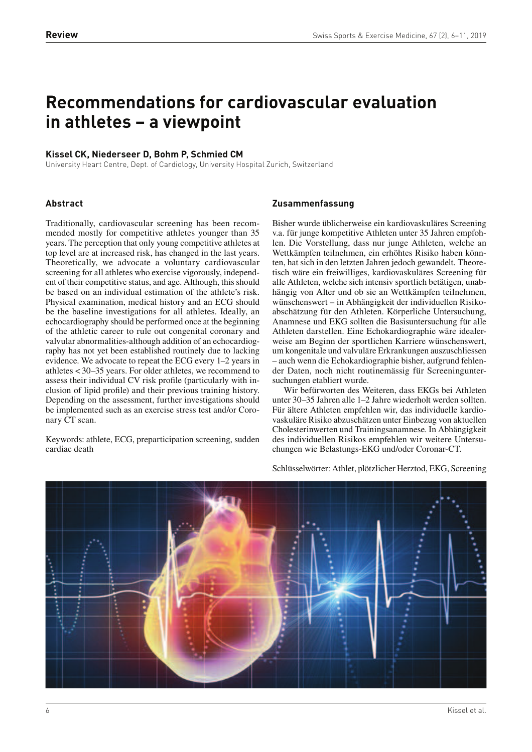# **Recommendations for cardiovascular evaluation in athletes – a viewpoint**

# **Kissel CK, Niederseer D, Bohm P, Schmied CM**

University Heart Centre, Dept. of Cardiology, University Hospital Zurich, Switzerland

## **Abstract**

Traditionally, cardiovascular screening has been recommended mostly for competitive athletes younger than 35 years. The perception that only young competitive athletes at top level are at increased risk, has changed in the last years. Theoretically, we advocate a voluntary cardiovascular screening for all athletes who exercise vigorously, independent of their competitive status, and age. Although, this should be based on an individual estimation of the athlete's risk. Physical examination, medical history and an ECG should be the baseline investigations for all athletes. Ideally, an echocardiography should be performed once at the beginning of the athletic career to rule out congenital coronary and valvular abnormalities-although addition of an echocardiography has not yet been established routinely due to lacking evidence. We advocate to repeat the ECG every 1–2 years in athletes < 30–35 years. For older athletes, we recommend to assess their individual CV risk profile (particularly with inclusion of lipid profile) and their previous training history. Depending on the assessment, further investigations should be implemented such as an exercise stress test and/or Coronary CT scan.

Keywords: athlete, ECG, preparticipation screening, sudden cardiac death

## **Zusammenfassung**

Bisher wurde üblicherweise ein kardiovaskuläres Screening v.a. für junge kompetitive Athleten unter 35 Jahren empfohlen. Die Vorstellung, dass nur junge Athleten, welche an Wettkämpfen teilnehmen, ein erhöhtes Risiko haben könnten, hat sich in den letzten Jahren jedoch gewandelt. Theoretisch wäre ein freiwilliges, kardiovaskuläres Screening für alle Athleten, welche sich intensiv sportlich betätigen, unabhängig von Alter und ob sie an Wettkämpfen teilnehmen, wünschenswert – in Abhängigkeit der individuellen Risikoabschätzung für den Athleten. Körperliche Untersuchung, Anamnese und EKG sollten die Basisuntersuchung für alle Athleten darstellen. Eine Echokardiographie wäre idealerweise am Beginn der sportlichen Karriere wünschenswert, um kongenitale und valvuläre Erkrankungen auszuschliessen – auch wenn die Echokardiographie bisher, aufgrund fehlender Daten, noch nicht routinemässig für Screeninguntersuchungen etabliert wurde.

Wir befürworten des Weiteren, dass EKGs bei Athleten unter 30–35 Jahren alle 1–2 Jahre wiederholt werden sollten. Für ältere Athleten empfehlen wir, das individuelle kardiovaskuläre Risiko abzuschätzen unter Einbezug von aktuellen Cholesterinwerten und Trainingsanamnese. In Abhängigkeit des individuellen Risikos empfehlen wir weitere Untersuchungen wie Belastungs-EKG und/oder Coronar-CT.

Schlüsselwörter: Athlet, plötzlicher Herztod, EKG, Screening

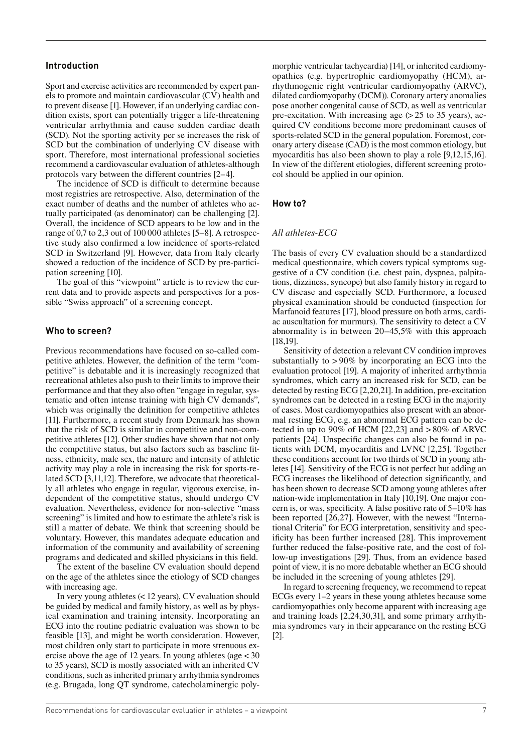## **Introduction**

Sport and exercise activities are recommended by expert panels to promote and maintain cardiovascular (CV) health and to prevent disease [1]. However, if an underlying cardiac condition exists, sport can potentially trigger a life-threatening ventricular arrhythmia and cause sudden cardiac death (SCD). Not the sporting activity per se increases the risk of SCD but the combination of underlying CV disease with sport. Therefore, most international professional societies recommend a cardiovascular evaluation of athletes-although protocols vary between the different countries [2–4].

The incidence of SCD is difficult to determine because most registries are retrospective. Also, determination of the exact number of deaths and the number of athletes who actually participated (as denominator) can be challenging [2]. Overall, the incidence of SCD appears to be low and in the range of 0,7 to 2,3 out of 100 000 athletes [5–8]. A retrospective study also confirmed a low incidence of sports-related SCD in Switzerland [9]. However, data from Italy clearly showed a reduction of the incidence of SCD by pre-participation screening [10].

The goal of this "viewpoint" article is to review the current data and to provide aspects and perspectives for a possible "Swiss approach" of a screening concept.

## **Who to screen?**

Previous recommendations have focused on so-called competitive athletes. However, the definition of the term "competitive" is debatable and it is increasingly recognized that recreational athletes also push to their limits to improve their performance and that they also often "engage in regular, systematic and often intense training with high CV demands", which was originally the definition for competitive athletes [11]. Furthermore, a recent study from Denmark has shown that the risk of SCD is similar in competitive and non-competitive athletes [12]. Other studies have shown that not only the competitive status, but also factors such as baseline fitness, ethnicity, male sex, the nature and intensity of athletic activity may play a role in increasing the risk for sports-related SCD [3,11,12]. Therefore, we advocate that theoretically all athletes who engage in regular, vigorous exercise, independent of the competitive status, should undergo CV evaluation. Nevertheless, evidence for non-selective "mass screening" is limited and how to estimate the athlete's risk is still a matter of debate. We think that screening should be voluntary. However, this mandates adequate education and information of the community and availability of screening programs and dedicated and skilled physicians in this field.

The extent of the baseline CV evaluation should depend on the age of the athletes since the etiology of SCD changes with increasing age.

In very young athletes (< 12 years), CV evaluation should be guided by medical and family history, as well as by physical examination and training intensity. Incorporating an ECG into the routine pediatric evaluation was shown to be feasible [13], and might be worth consideration. However, most children only start to participate in more strenuous exercise above the age of 12 years. In young athletes (age < 30 to 35 years), SCD is mostly associated with an inherited CV conditions, such as inherited primary arrhythmia syndromes (e.g. Brugada, long QT syndrome, catecholaminergic polymorphic ventricular tachycardia) [14], or inherited cardiomyopathies (e.g. hypertrophic cardiomyopathy (HCM), arrhythmogenic right ventricular cardiomyopathy (ARVC), dilated cardiomyopathy (DCM)). Coronary artery anomalies pose another congenital cause of SCD, as well as ventricular pre-excitation. With increasing age  $(> 25$  to 35 years), acquired CV conditions become more predominant causes of sports-related SCD in the general population. Foremost, coronary artery disease (CAD) is the most common etiology, but myocarditis has also been shown to play a role [9,12,15,16]. In view of the different etiologies, different screening protocol should be applied in our opinion.

## **How to?**

#### *All athletes-ECG*

The basis of every CV evaluation should be a standardized medical questionnaire, which covers typical symptoms suggestive of a CV condition (i.e. chest pain, dyspnea, palpitations, dizziness, syncope) but also family history in regard to CV disease and especially SCD. Furthermore, a focused physical examination should be conducted (inspection for Marfanoid features [17], blood pressure on both arms, cardiac auscultation for murmurs). The sensitivity to detect a CV abnormality is in between 20–45,5% with this approach [18,19].

Sensitivity of detection a relevant CV condition improves substantially to > 90% by incorporating an ECG into the evaluation protocol [19]. A majority of inherited arrhythmia syndromes, which carry an increased risk for SCD, can be detected by resting ECG [2,20,21]. In addition, pre-excitation syndromes can be detected in a resting ECG in the majority of cases. Most cardiomyopathies also present with an abnormal resting ECG, e.g. an abnormal ECG pattern can be detected in up to 90% of HCM  $[22,23]$  and  $>80\%$  of ARVC patients [24]. Unspecific changes can also be found in patients with DCM, myocarditis and LVNC [2,25]. Together these conditions account for two thirds of SCD in young athletes [14]. Sensitivity of the ECG is not perfect but adding an ECG increases the likelihood of detection signicantly, and has been shown to decrease SCD among young athletes after nation-wide implementation in Italy [10,19]. One major concern is, or was, specificity. A false positive rate of  $5-10\%$  has been reported [26,27]. However, with the newest "International Criteria" for ECG interpretation, sensitivity and specificity has been further increased [28]. This improvement further reduced the false-positive rate, and the cost of follow-up investigations [29]. Thus, from an evidence based point of view, it is no more debatable whether an ECG should be included in the screening of young athletes [29].

In regard to screening frequency, we recommend to repeat ECGs every 1–2 years in these young athletes because some cardiomyopathies only become apparent with increasing age and training loads [2,24,30,31], and some primary arrhythmia syndromes vary in their appearance on the resting ECG [2].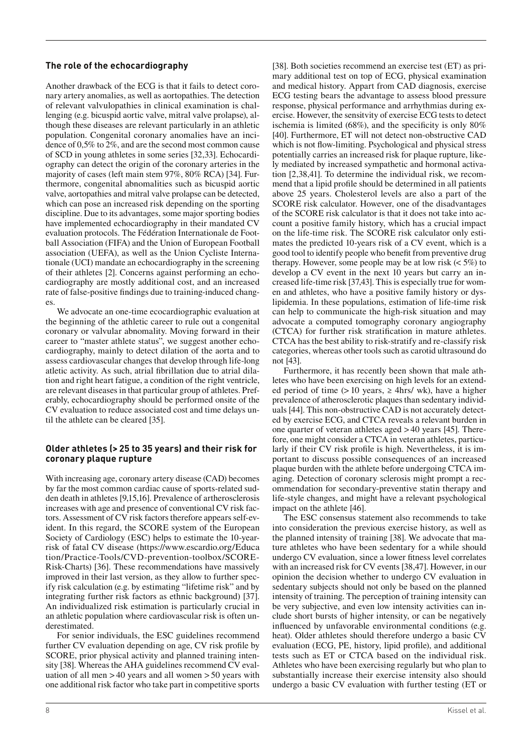# **The role of the echocardiography**

Another drawback of the ECG is that it fails to detect coronary artery anomalies, as well as aortopathies. The detection of relevant valvulopathies in clinical examination is challenging (e.g. bicuspid aortic valve, mitral valve prolapse), although these diseases are relevant particularly in an athletic population. Congenital coronary anomalies have an incidence of 0,5% to 2%, and are the second most common cause of SCD in young athletes in some series [32,33]. Echocardiography can detect the origin of the coronary arteries in the majority of cases (left main stem 97%, 80% RCA) [34]. Furthermore, congenital abnomalities such as bicuspid aortic valve, aortopathies and mitral valve prolapse can be detected, which can pose an increased risk depending on the sporting discipline. Due to its advantages, some major sporting bodies have implemented echocardiography in their mandated CV evaluation protocols. The Fédération Internationale de Football Association (FIFA) and the Union of European Football association (UEFA), as well as the Union Cycliste Internationale (UCI) mandate an echocardiography in the screening of their athletes [2]. Concerns against performing an echocardiography are mostly additional cost, and an increased rate of false-positive findings due to training-induced changes.

We advocate an one-time ecocardiographic evaluation at the beginning of the athletic career to rule out a congenital coronary or valvular abnomality. Moving forward in their career to "master athlete status", we suggest another echocardiography, mainly to detect dilation of the aorta and to assess cardiovascular changes that develop through life-long atletic activity. As such, atrial fibrillation due to atrial dilation and right heart fatigue, a condition of the right ventricle, are relevant diseases in that particular group of athletes. Preferably, echocardiography should be performed on site of the CV evaluation to reduce associated cost and time delays until the athlete can be cleared [35].

## **Older athletes (> 25 to 35 years) and their risk for**  coronary plaque rupture

With increasing age, coronary artery disease (CAD) becomes by far the most common cardiac cause of sports-related sudden death in athletes [9,15,16]. Prevalence of artherosclerosis increases with age and presence of conventional CV risk factors. Assessment of CV risk factors therefore appears self-evident. In this regard, the SCORE system of the European Society of Cardiology (ESC) helps to estimate the 10-yearrisk of fatal CV disease (https://www.escardio.org/Educa tion/Practice-Tools/CVD-prevention-toolbox/SCORE-Risk-Charts) [36]. These recommendations have massively improved in their last version, as they allow to further specify risk calculation (e.g. by estimating "lifetime risk" and by integrating further risk factors as ethnic background) [37]. An individualized risk estimation is particularly crucial in an athletic population where cardiovascular risk is often underestimated.

For senior individuals, the ESC guidelines recommend further CV evaluation depending on age, CV risk profile by SCORE, prior physical activity and planned training intensity [38]. Whereas the AHA guidelines recommend CV evaluation of all men > 40 years and all women > 50 years with one additional risk factor who take part in competitive sports [38]. Both societies recommend an exercise test (ET) as primary additional test on top of ECG, physical examination and medical history. Appart from CAD diagnosis, exercise ECG testing bears the advantage to assess blood pressure response, physical performance and arrhythmias during exercise. However, the sensitvity of exercise ECG tests to detect ischemia is limited  $(68\%)$ , and the specificity is only  $80\%$ [40]. Furthermore, ET will not detect non-obstructive CAD which is not flow-limiting. Psychological and physical stress potentially carries an increased risk for plaque rupture, likely mediated by increased sympathetic and hormonal activation [2,38,41]. To determine the individual risk, we recommend that a lipid profile should be determined in all patients above 25 years. Cholesterol levels are also a part of the SCORE risk calculator. However, one of the disadvantages of the SCORE risk calculator is that it does not take into account a positive family history, which has a crucial impact on the life-time risk. The SCORE risk calculator only estimates the predicted 10-years risk of a CV event, which is a good tool to identify people who benefit from preventive drug therapy. However, some people may be at low risk  $(< 5\%)$  to develop a CV event in the next 10 years but carry an increased life-time risk [37,43]. This is especially true for women and athletes, who have a positive family history or dyslipidemia. In these populations, estimation of life-time risk can help to communicate the high-risk situation and may advocate a computed tomography coronary angiography (CTCA) for further risk stratification in mature athletes. CTCA has the best ability to risk-stratify and re-classify risk categories, whereas other tools such as carotid ultrasound do not [43].

Furthermore, it has recently been shown that male athletes who have been exercising on high levels for an extended period of time (> 10 years,  $\ge$  4hrs/ wk), have a higher prevalence of atherosclerotic plaques than sedentary individuals [44]. This non-obstructive CAD is not accurately detected by exercise ECG, and CTCA reveals a relevant burden in one quarter of veteran athletes aged > 40 years [45]. Therefore, one might consider a CTCA in veteran athletes, particularly if their CV risk profile is high. Nevertheless, it is important to discuss possible consequences of an increased plaque burden with the athlete before undergoing CTCA imaging. Detection of coronary sclerosis might prompt a recommendation for secondary-preventive statin therapy and life-style changes, and might have a relevant psychological impact on the athlete [46].

The ESC consensus statement also recommends to take into consideration the previous exercise history, as well as the planned intensity of training [38]. We advocate that mature athletes who have been sedentary for a while should undergo CV evaluation, since a lower fitness level correlates with an increased risk for CV events [38,47]. However, in our opinion the decision whether to undergo CV evaluation in sedentary subjects should not only be based on the planned intensity of training. The perception of training intensity can be very subjective, and even low intensity activities can include short bursts of higher intensity, or can be negatively influenced by unfavorable environmental conditions (e.g. heat). Older athletes should therefore undergo a basic CV evaluation (ECG, PE, history, lipid profile), and additional tests such as ET or CTCA based on the individual risk. Athletes who have been exercising regularly but who plan to substantially increase their exercise intensity also should undergo a basic CV evaluation with further testing (ET or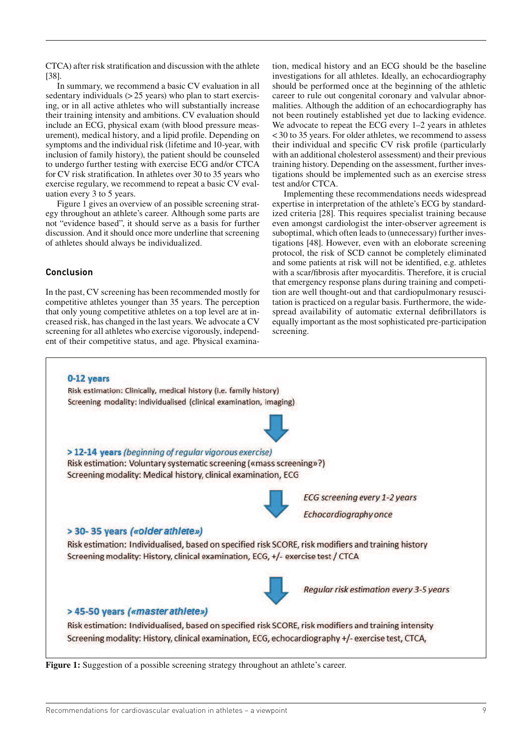CTCA) after risk stratification and discussion with the athlete [38].

In summary, we recommend a basic CV evaluation in all sedentary individuals  $(> 25$  years) who plan to start exercising, or in all active athletes who will substantially increase their training intensity and ambitions. CV evaluation should include an ECG, physical exam (with blood pressure measurement), medical history, and a lipid profile. Depending on symptoms and the individual risk (lifetime and 10-year, with inclusion of family history), the patient should be counseled to undergo further testing with exercise ECG and/or CTCA for CV risk stratification. In athletes over 30 to 35 years who exercise regulary, we recommend to repeat a basic CV evaluation every 3 to 5 years.

Figure 1 gives an overview of an possible screening strategy throughout an athlete's career. Although some parts are not "evidence based", it should serve as a basis for further discussion. And it should once more underline that screening of athletes should always be individualized.

# **Conclusion**

In the past, CV screening has been recommended mostly for competitive athletes younger than 35 years. The perception that only young competitive athletes on a top level are at increased risk, has changed in the last years. We advocate a CV screening for all athletes who exercise vigorously, independent of their competitive status, and age. Physical examina-

tion, medical history and an ECG should be the baseline investigations for all athletes. Ideally, an echocardiography should be performed once at the beginning of the athletic career to rule out congenital coronary and valvular abnormalities. Although the addition of an echocardiography has not been routinely established yet due to lacking evidence. We advocate to repeat the ECG every 1–2 years in athletes < 30 to 35 years. For older athletes, we recommend to assess their individual and specific CV risk profile (particularly with an additional cholesterol assessment) and their previous training history. Depending on the assessment, further investigations should be implemented such as an exercise stress test and/or CTCA.

Implementing these recommendations needs widespread expertise in interpretation of the athlete's ECG by standardized criteria [28]. This requires specialist training because even amongst cardiologist the inter-observer agreement is suboptimal, which often leads to (unnecessary) further investigations [48]. However, even with an eloborate screening protocol, the risk of SCD cannot be completely eliminated and some patients at risk will not be identified, e.g. athletes with a scar/fibrosis after myocarditis. Therefore, it is crucial that emergency response plans during training and competition are well thought-out and that cardiopulmonary resuscitation is practiced on a regular basis. Furthermore, the widespread availability of automatic external defibrillators is equally important as the most sophisticated pre-participation screening.



Figure 1: Suggestion of a possible screening strategy throughout an athlete's career.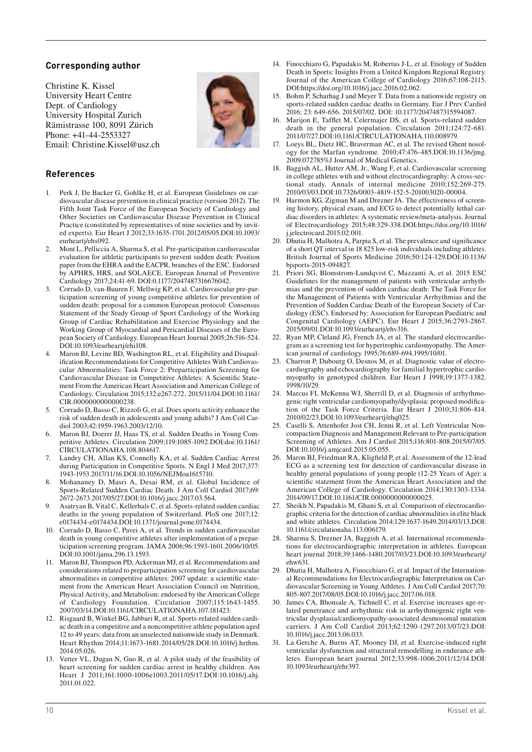# **Corresponding author**

Christine K. Kissel University Heart Centre Dept. of Cardiology University Hospital Zurich Rämistrasse 100, 8091 Zürich Phone: +41-44-2553327 Email: Christine.Kissel@usz.ch



## **References**

- 1. Perk J, De Backer G, Gohlke H, et al. European Guidelines on cardiovascular disease prevention in clinical practice (version 2012). The Fifth Joint Task Force of the European Society of Cardiology and Other Societies on Cardiovascular Disease Prevention in Clinical Practice (constituted by representatives of nine societies and by invited experts). Eur Heart J 2012;33:1635-1701.2012/05/05.DOI:10.1093/ eurheartj/ehs092.
- 2. Mont L, Pelliccia A, Sharma S, et al. Pre-participation cardiovascular evaluation for athletic participants to prevent sudden death: Position paper from the EHRA and the EACPR, branches of the ESC. Endorsed by APHRS, HRS, and SOLAECE. European Journal of Preventive Cardiology 2017;24:41-69. DOI:0.1177/2047487316676042.
- 3. Corrado D, van-Buuren F, Mellwig KP, et al. Cardiovascular pre-participation screening of young competitive athletes for prevention of sudden death: proposal for a common European protocol: Consensus Statement of the Study Group of Sport Cardiology of the Working Group of Cardiac Rehabilitation and Exercise Physiology and the Working Group of Myocardial and Pericardial Diseases of the European Society of Cardiology. European Heart Journal 2005;26:516-524. DOI:10.1093/eurheartj/ehi108.
- 4. Maron BJ, Levine BD, Washington RL, et al. Eligibility and Disqualification Recommendations for Competitive Athletes With Cardiovascular Abnormalities: Task Force 2: Preparticipation Screening for Cardiovascular Disease in Competitive Athletes: A Scientific Statement From the American Heart Association and American College of Cardiology. Circulation 2015;132:e267-272. 2015/11/04.DOI:10.1161/ CIR.0000000000000238.
- 5. Corrado D, Basso C, Rizzoli G, et al. Does sports activity enhance the risk of sudden death in adolescents and young adults? J Am Coll Cardiol 2003;42:1959-1963.2003/12/10.
- 6. Maron BJ, Doerer JJ, Haas TS, et al. Sudden Deaths in Young Competitive Athletes. Circulation 2009;119:1085-1092.DOI:doi:10.1161/ CIRCULATIONAHA.108.804617.
- 7. Landry CH, Allan KS, Connelly KA, et al. Sudden Cardiac Arrest during Participation in Competitive Sports. N Engl J Med 2017;377: 1943-1953.2017/11/16.DOI:10.1056/NEJMoa1615710.
- 8. Mohananey D, Masri A, Desai RM, et al. Global Incidence of Sports-Related Sudden Cardiac Death. J Am Coll Cardiol 2017;69: 2672-2673.2017/05/27.DOI:10.1016/j.jacc.2017.03.564.
- 9. Asatryan B, Vital C, Kellerhals C, et al. Sports-related sudden cardiac deaths in the young population of Switzerland. PloS one 2017;12: e0174434-e0174434.DOI:10.1371/journal.pone.0174434.
- 10. Corrado D, Basso C, Pavei A, et al. Trends in sudden cardiovascular death in young competitive athletes after implementation of a preparticipation screening program. JAMA 2006;96:1593-1601.2006/10/05. DOI:10.1001/jama.296.13.1593.
- 11. Maron BJ, Thompson PD, Ackerman MJ, et al. Recommendations and considerations related to preparticipation screening for cardiovascular abnormalities in competitive athletes: 2007 update: a scientific statement from the American Heart Association Council on Nutrition, Physical Activity, and Metabolism: endorsed by the American College of Cardiology Foundation. Circulation 2007;115:1643-1455. 2007/03/14.DOI:10.1161/CIRCULATIONAHA.107.181423.
- 12. Risgaard B, Winkel BG, Jabbari R, et al. Sports-related sudden cardiac death in a competitive and a noncompetitive athlete population aged 12 to 49 years: data from an unselected nationwide study in Denmark. Heart Rhythm 2014;11:1673-1681.2014/05/28.DOI:10.1016/j.hrthm. 2014.05.026.
- Vetter VL, Dugan N, Guo R, et al. A pilot study of the feasibility of heart screening for sudden cardiac arrest in healthy children. Am Heart J 2011;161:1000-1006e1003.2011/05/17.DOI:10.1016/j.ahj. 2011.01.022.
- 14. Finocchiaro G, Papadakis M, Robertus J-L, et al. Etiology of Sudden Death in Sports: Insights From a United Kingdom Regional Registry. Journal of the American College of Cardiology 2016;67:108-2115. DOI:https://doi.org/10.1016/j.jacc.2016.02.062.
- 15. Bohm P, Scharhag J and Meyer T. Data from a nationwide registry on sports-related sudden cardiac deaths in Germany. Eur J Prev Cardiol 2016; 23: 649-656. 2015/07/02. DOI: 10.1177/2047487315594087.
- 16. Marijon E, Tafflet M, Celermajer DS, et al. Sports-related sudden death in the general population. Circulation 2011;124:72-681. 2011/07/27.DOI:10.1161/CIRCULATIONAHA.110.008979.
- 17. Loeys BL, Dietz HC, Braverman AC, et al. The revised Ghent nosology for the Marfan syndrome. 2010;47:476-485.DOI:10.1136/jmg. 2009.072785%J Journal of Medical Genetics.
- 18. Baggish AL, Hutter AM, Jr., Wang F, et al. Cardiovascular screening in college athletes with and without electrocardiography: A cross-sectional study. Annals of internal medicine 2010;152:269-275. 2010/03/03.DOI:10.7326/0003-4819-152-5-201003020-00004.
- 19. Harmon KG, Zigman M and Drezner JA. The effectiveness of screening history, physical exam, and ECG to detect potentially lethal cardiac disorders in athletes: A systematic review/meta-analysis. Journal of Electrocardiology 2015;48:329-338.DOI:https://doi.org/10.1016/ j.jelectrocard.2015.02.001.
- 20. Dhutia H, Malhotra A, Parpia S, et al. The prevalence and significance of a short QT interval in 18 825 low-risk individuals including athletes. British Journal of Sports Medicine 2016;50:124-129.DOI:10.1136/ bjsports-2015-094827.
- 21. Priori SG, Blomstrom-Lundqvist C, Mazzanti A, et al. 2015 ESC Guidelines for the management of patients with ventricular arrhythmias and the prevention of sudden cardiac death: The Task Force for the Management of Patients with Ventricular Arrhythmias and the Prevention of Sudden Cardiac Death of the European Society of Cardiology (ESC). Endorsed by: Association for European Paediatric and Congenital Cardiology (AEPC). Eur Heart J 2015;36:2793-2867. 2015/09/01.DOI:10.1093/eurheartj/ehv316.
- 22. Ryan MP, Cleland JG, French JA, et al. The standard electrocardiogram as a screening test for hypertrophic cardiomyopathy. The American journal of cardiology 1995;76:689-694.1995/10/01.
- 23. Charron P, Dubourg O, Desnos M, et al. Diagnostic value of electrocardiography and echocardiography for familial hypertrophic cardiomyopathy in genotyped children. Eur Heart J 1998;19:1377-1382. 1998/10/29.
- 24. Marcus FI, McKenna WJ, Sherrill D, et al. Diagnosis of arrhythmogenic right ventricular cardiomyopathy/dysplasia: proposed modification of the Task Force Criteria. Eur Heart J 2010;31:806-814. 2010/02/23.DOI:10.1093/eurheartj/ehq025.
- 25. Caselli S, Attenhofer Jost CH, Jenni R, et al. Left Ventricular Noncompaction Diagnosis and Management Relevant to Pre-participation Screening of Athletes. Am J Cardiol 2015;116:801-808.2015/07/05. DOI:10.1016/j.amjcard.2015.05.055.
- 26. Maron BJ, Friedman RA, Kligfield P, et al. Assessment of the 12-lead ECG as a screening test for detection of cardiovascular disease in healthy general populations of young people (12-25 Years of Age): a scientific statement from the American Heart Association and the American College of Cardiology. Circulation 2014;130:1303-1334. 2014/09/17.DOI:10.1161/CIR.0000000000000025.
- 27. Sheikh N, Papadakis M, Ghani S, et al. Comparison of electrocardiographic criteria for the detection of cardiac abnormalities in elite black and white athletes. Circulation 2014;129:1637-1649.2014/03/13.DOI: 10.1161/circulationaha.113.006179.
- 28. Sharma S, Drezner JA, Baggish A, et al. International recommendations for electrocardiographic interpretation in athletes. European heart journal 2018;39:1466-1480.2017/03/23.DOI:10.1093/eurheartj/ ehw631.
- 29. Dhutia H, Malhotra A, Finocchiaro G, et al. Impact of the International Recommendations for Electrocardiographic Interpretation on Cardiovascular Screening in Young Athletes. J Am Coll Cardiol 2017;70: 805-807.2017/08/05.DOI:10.1016/j.jacc.2017.06.018.
- 30. James CA, Bhonsale A, Tichnell C, et al. Exercise increases age-related penetrance and arrhythmic risk in arrhythmogenic right ventricular dysplasia/cardiomyopathy-associated desmosomal mutation carriers. J Am Coll Cardiol 2013;62:1290-1297.2013/07/23.DOI: 10.1016/j.jacc.2013.06.033.
- 31. La Gerche A, Burns AT, Mooney DJ, et al. Exercise-induced right ventricular dysfunction and structural remodelling in endurance athletes. European heart journal 2012;33:998-1006.2011/12/14.DOI: 10.1093/eurheartj/ehr397.